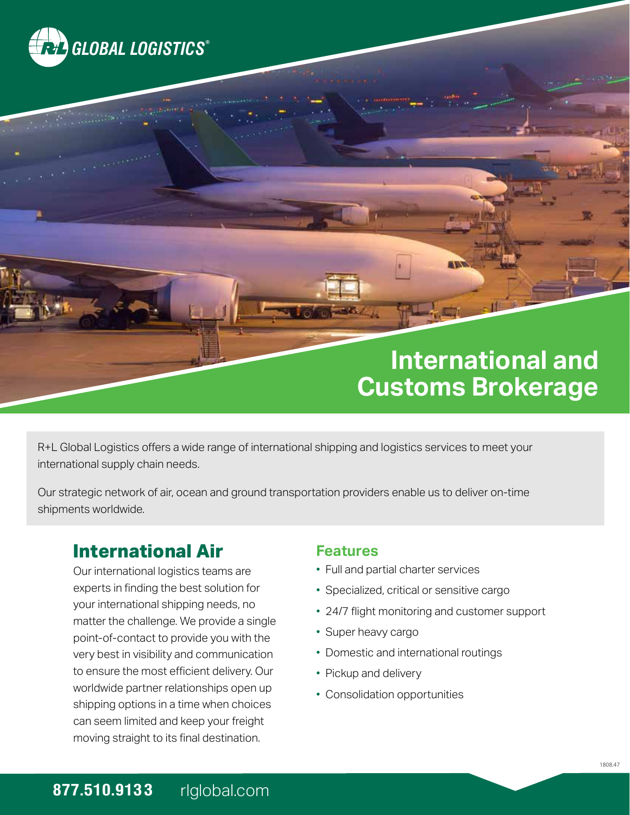

# **International and Customs Brokerage**

R+L Global Logistics offers a wide range of international shipping and logistics services to meet your international supply chain needs.

Our strategic network of air, ocean and ground transportation providers enable us to deliver on-time shipments worldwide.

## **International Air**

Our international logistics teams are experts in finding the best solution for your international shipping needs, no matter the challenge. We provide a single point-of-contact to provide you with the very best in visibility and communication to ensure the most efficient delivery. Our worldwide partner relationships open up shipping options in a time when choices can seem limited and keep your freight moving straight to its final destination.

#### **Features**

- Full and partial charter services
- Specialized, critical or sensitive cargo
- 24/7 flight monitoring and customer support
- Super heavy cargo
- Domestic and international routings
- Pickup and delivery
- Consolidation opportunities